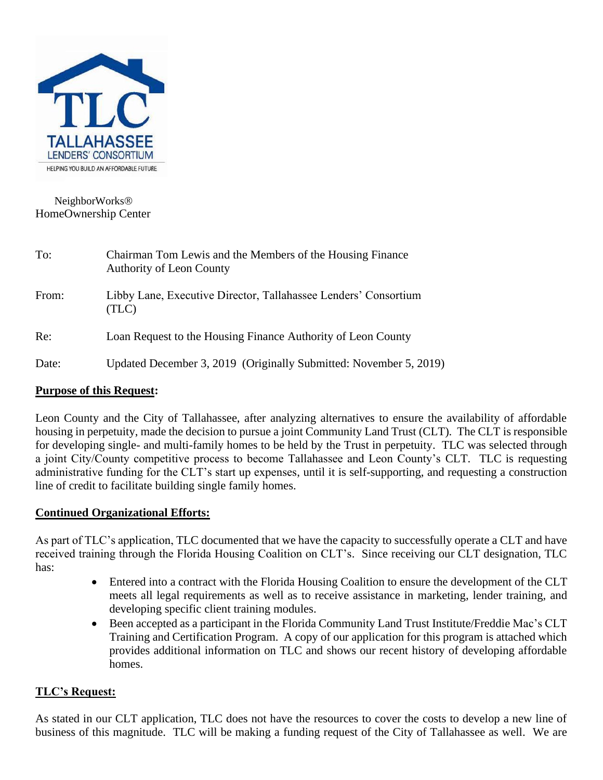

### NeighborWorks HomeOwnership Center

| To:   | Chairman Tom Lewis and the Members of the Housing Finance<br><b>Authority of Leon County</b> |
|-------|----------------------------------------------------------------------------------------------|
| From: | Libby Lane, Executive Director, Tallahassee Lenders' Consortium<br>(TLC)                     |
| Re:   | Loan Request to the Housing Finance Authority of Leon County                                 |
| Date: | Updated December 3, 2019 (Originally Submitted: November 5, 2019)                            |

### **Purpose of this Request:**

Leon County and the City of Tallahassee, after analyzing alternatives to ensure the availability of affordable housing in perpetuity, made the decision to pursue a joint Community Land Trust (CLT). The CLT is responsible for developing single- and multi-family homes to be held by the Trust in perpetuity. TLC was selected through a joint City/County competitive process to become Tallahassee and Leon County's CLT. TLC is requesting administrative funding for the CLT's start up expenses, until it is self-supporting, and requesting a construction line of credit to facilitate building single family homes.

### **Continued Organizational Efforts:**

As part of TLC's application, TLC documented that we have the capacity to successfully operate a CLT and have received training through the Florida Housing Coalition on CLT's. Since receiving our CLT designation, TLC has:

- Entered into a contract with the Florida Housing Coalition to ensure the development of the CLT meets all legal requirements as well as to receive assistance in marketing, lender training, and developing specific client training modules.
- Been accepted as a participant in the Florida Community Land Trust Institute/Freddie Mac's CLT Training and Certification Program. A copy of our application for this program is attached which provides additional information on TLC and shows our recent history of developing affordable homes.

### **TLC's Request:**

As stated in our CLT application, TLC does not have the resources to cover the costs to develop a new line of business of this magnitude. TLC will be making a funding request of the City of Tallahassee as well. We are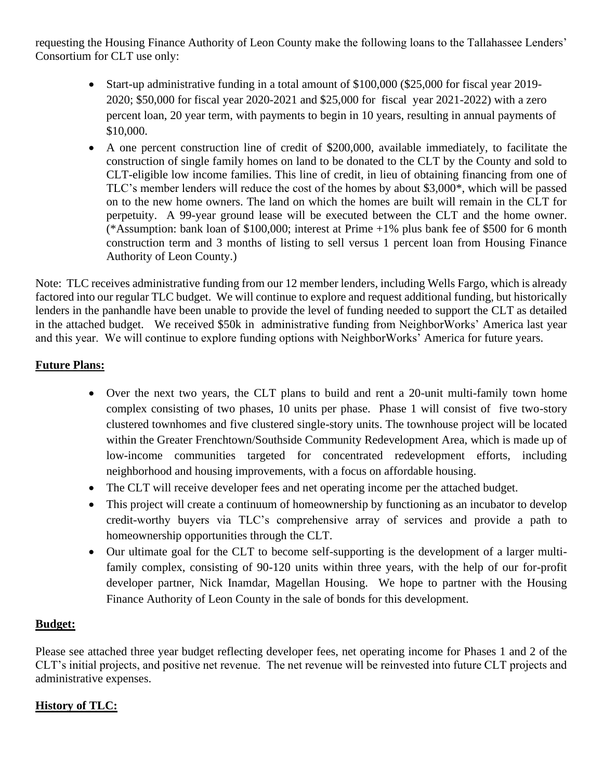requesting the Housing Finance Authority of Leon County make the following loans to the Tallahassee Lenders' Consortium for CLT use only:

- Start-up administrative funding in a total amount of \$100,000 (\$25,000 for fiscal year 2019-2020; \$50,000 for fiscal year 2020-2021 and \$25,000 for fiscal year 2021-2022) with a zero percent loan, 20 year term, with payments to begin in 10 years, resulting in annual payments of \$10,000.
- A one percent construction line of credit of \$200,000, available immediately, to facilitate the construction of single family homes on land to be donated to the CLT by the County and sold to CLT-eligible low income families. This line of credit, in lieu of obtaining financing from one of TLC's member lenders will reduce the cost of the homes by about \$3,000\*, which will be passed on to the new home owners. The land on which the homes are built will remain in the CLT for perpetuity. A 99-year ground lease will be executed between the CLT and the home owner. (\*Assumption: bank loan of \$100,000; interest at Prime +1% plus bank fee of \$500 for 6 month construction term and 3 months of listing to sell versus 1 percent loan from Housing Finance Authority of Leon County.)

Note: TLC receives administrative funding from our 12 member lenders, including Wells Fargo, which is already factored into our regular TLC budget. We will continue to explore and request additional funding, but historically lenders in the panhandle have been unable to provide the level of funding needed to support the CLT as detailed in the attached budget. We received \$50k in administrative funding from NeighborWorks' America last year and this year. We will continue to explore funding options with NeighborWorks' America for future years.

# **Future Plans:**

- Over the next two years, the CLT plans to build and rent a 20-unit multi-family town home complex consisting of two phases, 10 units per phase. Phase 1 will consist of five two-story clustered townhomes and five clustered single-story units. The townhouse project will be located within the Greater Frenchtown/Southside Community Redevelopment Area, which is made up of low-income communities targeted for concentrated redevelopment efforts, including neighborhood and housing improvements, with a focus on affordable housing.
- The CLT will receive developer fees and net operating income per the attached budget.
- This project will create a continuum of homeownership by functioning as an incubator to develop credit-worthy buyers via TLC's comprehensive array of services and provide a path to homeownership opportunities through the CLT.
- Our ultimate goal for the CLT to become self-supporting is the development of a larger multifamily complex, consisting of 90-120 units within three years, with the help of our for-profit developer partner, Nick Inamdar, Magellan Housing. We hope to partner with the Housing Finance Authority of Leon County in the sale of bonds for this development.

### **Budget:**

Please see attached three year budget reflecting developer fees, net operating income for Phases 1 and 2 of the CLT's initial projects, and positive net revenue. The net revenue will be reinvested into future CLT projects and administrative expenses.

# **History of TLC:**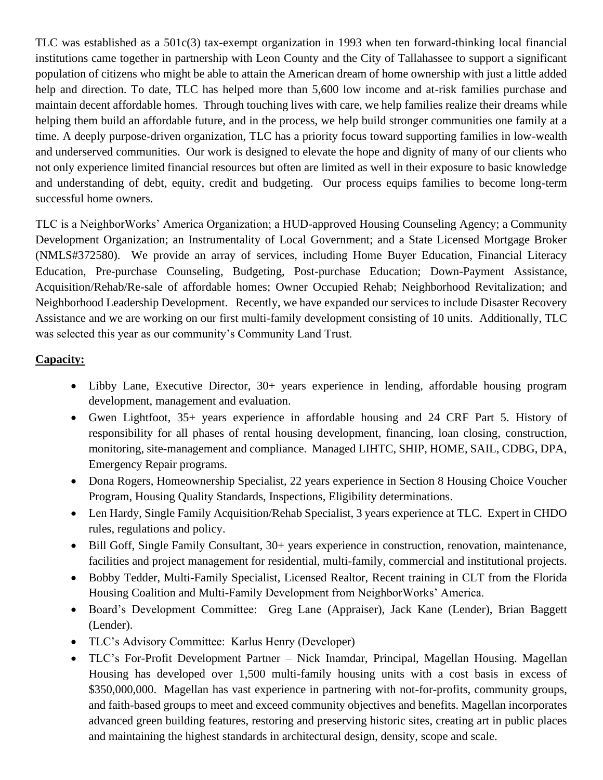TLC was established as a 501c(3) tax-exempt organization in 1993 when ten forward-thinking local financial institutions came together in partnership with Leon County and the City of Tallahassee to support a significant population of citizens who might be able to attain the American dream of home ownership with just a little added help and direction. To date, TLC has helped more than 5,600 low income and at-risk families purchase and maintain decent affordable homes. Through touching lives with care, we help families realize their dreams while helping them build an affordable future, and in the process, we help build stronger communities one family at a time. A deeply purpose-driven organization, TLC has a priority focus toward supporting families in low-wealth and underserved communities. Our work is designed to elevate the hope and dignity of many of our clients who not only experience limited financial resources but often are limited as well in their exposure to basic knowledge and understanding of debt, equity, credit and budgeting. Our process equips families to become long-term successful home owners.

TLC is a NeighborWorks' America Organization; a HUD-approved Housing Counseling Agency; a Community Development Organization; an Instrumentality of Local Government; and a State Licensed Mortgage Broker (NMLS#372580). We provide an array of services, including Home Buyer Education, Financial Literacy Education, Pre-purchase Counseling, Budgeting, Post-purchase Education; Down-Payment Assistance, Acquisition/Rehab/Re-sale of affordable homes; Owner Occupied Rehab; Neighborhood Revitalization; and Neighborhood Leadership Development. Recently, we have expanded our services to include Disaster Recovery Assistance and we are working on our first multi-family development consisting of 10 units. Additionally, TLC was selected this year as our community's Community Land Trust.

# **Capacity:**

- Libby Lane, Executive Director, 30+ years experience in lending, affordable housing program development, management and evaluation.
- Gwen Lightfoot, 35+ years experience in affordable housing and 24 CRF Part 5. History of responsibility for all phases of rental housing development, financing, loan closing, construction, monitoring, site-management and compliance. Managed LIHTC, SHIP, HOME, SAIL, CDBG, DPA, Emergency Repair programs.
- Dona Rogers, Homeownership Specialist, 22 years experience in Section 8 Housing Choice Voucher Program, Housing Quality Standards, Inspections, Eligibility determinations.
- Len Hardy, Single Family Acquisition/Rehab Specialist, 3 years experience at TLC. Expert in CHDO rules, regulations and policy.
- Bill Goff, Single Family Consultant, 30+ years experience in construction, renovation, maintenance, facilities and project management for residential, multi-family, commercial and institutional projects.
- Bobby Tedder, Multi-Family Specialist, Licensed Realtor, Recent training in CLT from the Florida Housing Coalition and Multi-Family Development from NeighborWorks' America.
- Board's Development Committee: Greg Lane (Appraiser), Jack Kane (Lender), Brian Baggett (Lender).
- TLC's Advisory Committee: Karlus Henry (Developer)
- TLC's For-Profit Development Partner Nick Inamdar, Principal, Magellan Housing. Magellan Housing has developed over 1,500 multi-family housing units with a cost basis in excess of \$350,000,000. Magellan has vast experience in partnering with not-for-profits, community groups, and faith-based groups to meet and exceed community objectives and benefits. Magellan incorporates advanced green building features, restoring and preserving historic sites, creating art in public places and maintaining the highest standards in architectural design, density, scope and scale.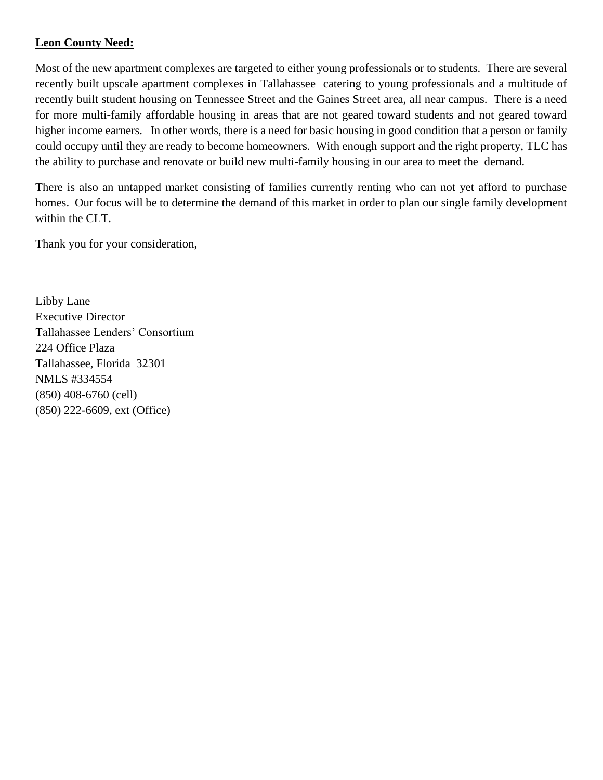### **Leon County Need:**

Most of the new apartment complexes are targeted to either young professionals or to students. There are several recently built upscale apartment complexes in Tallahassee catering to young professionals and a multitude of recently built student housing on Tennessee Street and the Gaines Street area, all near campus. There is a need for more multi-family affordable housing in areas that are not geared toward students and not geared toward higher income earners. In other words, there is a need for basic housing in good condition that a person or family could occupy until they are ready to become homeowners. With enough support and the right property, TLC has the ability to purchase and renovate or build new multi-family housing in our area to meet the demand.

There is also an untapped market consisting of families currently renting who can not yet afford to purchase homes. Our focus will be to determine the demand of this market in order to plan our single family development within the CLT.

Thank you for your consideration,

Libby Lane Executive Director Tallahassee Lenders' Consortium 224 Office Plaza Tallahassee, Florida 32301 NMLS #334554 (850) 408-6760 (cell) (850) 222-6609, ext (Office)